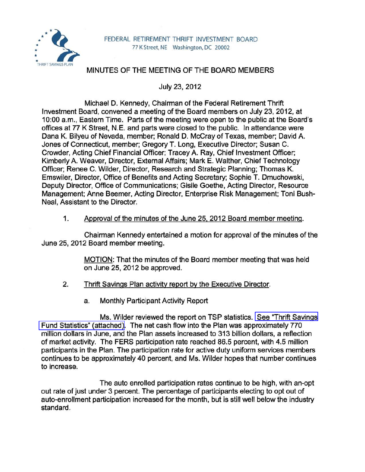

# MINUTES OF THE MEETING OF THE BOARD MEMBERS

July 23, 2012

Michael D. Kennedy, Chairman of the Federal Retirement Thrift Investment Board, convened a meeting of the Board members on July 23,2012, at 10:00 a.m., Eastern Time. Parts of the meeting were open to the public at the Board's offices at 77 K Street, N.E. and parts were closed to the public. In attendance were Dana K. Bilyeu of Nevada, member; Ronald D. McCray of Texas, member; David A. Jones of Connecticut, member; Gregory T. Long, Executive Director; Susan C. Crowder, Acting Chief Financial Officer; Tracey A. Ray, Chief Investment Officer; Kimberly A. Weaver, Director, External Affairs; Mark E. Walther, Chief Technology Officer; Renee C. Wilder, Director, Research and Strategic Planning; Thomas K. Emswiler, Director, Office of Benefits and Acting Secretary; Sophie T. Dmuchowski, Deputy Director, Office of Communications; Gisile Goethe, Acting Director, Resource Management; Anne Beemer, Acting Director, Enterprise Risk Management; Toni Bush-Neal, Assistant to the Director.

### 1. Approval of the minutes of the June 25, 2012 Board member meeting.

Chairman Kennedy entertained a motion for approval of the minutes of the June 25, 2012 Board member meeting.

> MOTION: That the minutes of the Board member meeting that was held on June 25,2012 be approved.

# 2. Thrift Savings Plan activity report by the Executive Director.

a. Monthly Participant Activity Report

Ms. Wilder reviewed the report on TSP statistics. See "Thrift Savings" [Fund Statistics" \(attached\).](www.frtib.gov/pdf/minutes/MM-2012Jul-Att1.pdf) The net cash flow into the Plan was approximately 770 million dollars in June, and the Plan assets increased to 313 billion dollars, a reflection of market activity. The FERS participation rate reached 86.5 percent, with 4.5 million participants in the Plan. The participation rate for active duty uniform services members continues to be approximately 40 percent, and Ms. Wilder hopes that number continues to increase.

The auto enrolled participation rates continue to be high, with an-opt out rate of just under 3 percent. The percentage of participants electing to opt out of auto-enrollment participation increased for the month, but is still well below the industry standard.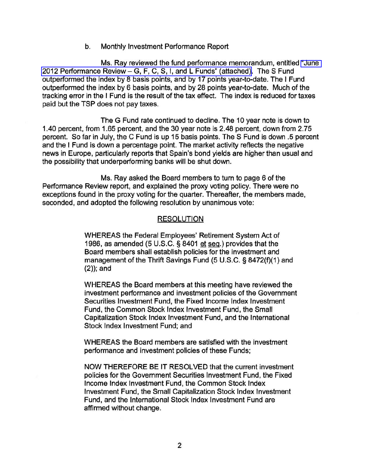b. Monthly Investment Performance Report

Ms. Ray reviewed the fund performance memorandum, entitled ["June](www.frtib.gov/pdf/minutes/MM-2012Jul-Att2.pdf)  2012 Performance Review - [G, F, C, S, I, and L Funds" \(attached\).](www.frtib.gov/pdf/minutes/MM-2012Jul-Att2.pdf) The S Fund outperformed the index by 8 basis points, and by 17 points year-to-date. The I Fund outperformed the index by 6 basis points, and by 28 points year-to-date. Much of the tracking error in the I Fund is the result of the tax effect. The index is reduced for taxes paid but the TSP does not pay taxes.

The G Fund rate continued to decline. The 10 year note is down to 1.40 percent, from 1.65 percent, and the 30 year note is 2.48 percent, down from 2.75 percent. So far in July, the C Fund is up 15 basis points. The S Fund is down .5 percent and the I Fund is down a percentage point. The market activity reflects the negative news in Europe, particularly reports that Spain's bond yields are higher than usual and the possibility that underperforming banks will be shut down.

Ms. Ray asked the Board members to turn to page 6 of the Performance Review report, and explained the proxy voting policy. There were no exceptions found in the proxy voting for the quarter. Thereafter, the members made, seconded, and adopted the following resolution by unanimous vote:

#### RESOLUTION

WHEREAS the Federal Employees' Retirement System Act of 1986, as amended (5 U.S.C. § 8401 et seq.) provides that the Board members shall establish policies for the investment and management of the Thrift Savings Fund (5 U.S.C. § 8472(f)(1) and  $(2)$ ; and

WHEREAS the Board members at this meeting have reviewed the investment performance and investment policies of the Government Securities Investment Fund, the Fixed Income Index Investment Fund, the Common Stock Index Investment Fund, the Small Capitalization Stock Index Investment Fund, and the International Stock Index Investment Fund; and

WHEREAS the Board members are satisfied with the investment performance and investment policies of these Funds;

NOW THEREFORE BE IT RESOLVED that the current investment policies for the Government Securities Investment Fund, the Fixed Income Index Investment Fund, the Common Stock Index Investment Fund, the Small Capitalization Stock Index Investment Fund, and the International Stock Index Investment Fund are affirmed without change.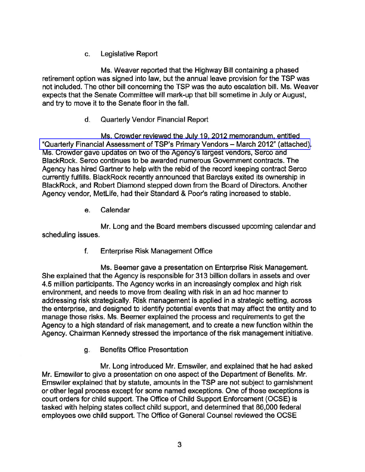c. Legislative Report

Ms. Weaver reported that the Highway Bill containing a phased retirement option was signed into law, but the annual leave provision for the TSP was not included. The other bill concerning the TSP was the auto escalation bill. Ms. Weaver expects that the Senate Committee will mark-up that bill sometime in July or August, and try to move it to the Senate floor in the fall.

# d. Quarterly Vendor Financial Report

Ms. Crowder reviewed the July 19, 2012 memorandum, entitled ["Quarterly Financial Assessment of TSP's Primary Vendors -](www.frtib.gov/pdf/minutes/MM-2012Jul-Att3.pdf) March 2012" (attached). Ms. Crowder gave updates on two of the Agency's largest vendors, Serco and BlackRock. Serco continues to be awarded numerous Government contracts. The Agency has hired Gartner to help with the rebid of the record keeping contract Serco currently fulfills. BlackRock recently announced that Barclays exited its ownership in BlackRock, and Robert Diamond stepped down from the Board of Directors. Another Agency vendor, MetLife, had their Standard & Poor's rating increased to stable.

e. Calendar

Mr. Long and the Board members discussed upcoming calendar and scheduling issues.

f. Enterprise Risk Management Office

Ms. Beemer gave a presentation on Enterprise Risk Management. She explained that the Agency is responsible for 313 billion dollars in assets and over 4.5 million participants. The Agency works in an increasingly complex and high risk environment, and needs to move from dealing with risk in an ad hoc manner to addressing risk strategically. Risk management is applied in a strategic setting, across the enterprise, and designed to identify potential events that may affect the entity and to manage those risks. Ms. Beemer explained the process and requirements to get the Agency to a high standard of risk management, and to create a new function within the Agency. Chairman Kennedy stressed the importance of the risk management initiative.

g. Benefits Office Presentation

Mr. Long introduced Mr. Emswiler, and explained that he had asked Mr. Emswiler to give a presentation on one aspect of the Department of Benefits. Mr. Emswiler explained that by statute, amounts in the TSP are not subject to garnishment or other legal process except for some named exceptions. One of those exceptions is court orders for child support. The Office of Child Support Enforcement (OCSE) is tasked with helping states collect child support, and determined that 86,000 federal employees owe child support. The Office of General Counsel reviewed the OCSE